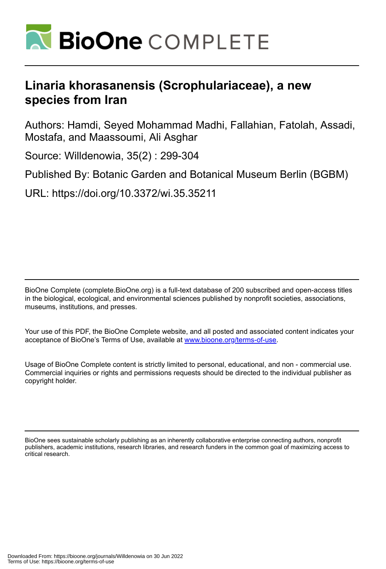

# **Linaria khorasanensis (Scrophulariaceae), a new species from Iran**

Authors: Hamdi, Seyed Mohammad Madhi, Fallahian, Fatolah, Assadi, Mostafa, and Maassoumi, Ali Asghar

Source: Willdenowia, 35(2) : 299-304

Published By: Botanic Garden and Botanical Museum Berlin (BGBM)

URL: https://doi.org/10.3372/wi.35.35211

BioOne Complete (complete.BioOne.org) is a full-text database of 200 subscribed and open-access titles in the biological, ecological, and environmental sciences published by nonprofit societies, associations, museums, institutions, and presses.

Your use of this PDF, the BioOne Complete website, and all posted and associated content indicates your acceptance of BioOne's Terms of Use, available at www.bioone.org/terms-of-use.

Usage of BioOne Complete content is strictly limited to personal, educational, and non - commercial use. Commercial inquiries or rights and permissions requests should be directed to the individual publisher as copyright holder.

BioOne sees sustainable scholarly publishing as an inherently collaborative enterprise connecting authors, nonprofit publishers, academic institutions, research libraries, and research funders in the common goal of maximizing access to critical research.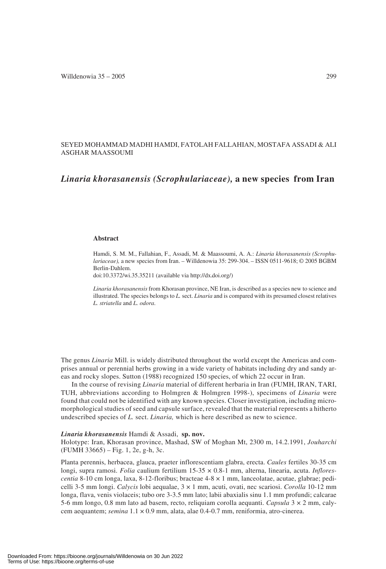## SEYED MOHAMMAD MADHI HAMDI, FATOLAH FALLAHIAN, MOSTAFA ASSADI & ALI ASGHAR MAASSOUMI

# *Linaria khorasanensis (Scrophulariaceae),* **a new species from Iran**

#### **Abstract**

Hamdi, S. M. M., Fallahian, F., Assadi, M. & Maassoumi, A. A.: *Linaria khorasanensis (Scrophulariaceae),* a new species from Iran. – Willdenowia 35: 299-304. – ISSN 0511-9618; © 2005 BGBM Berlin-Dahlem.

doi:10.3372/wi.35.35211 (available via http://dx.doi.org/)

*Linaria khorasanensis* from Khorasan province, NE Iran, is described as a species new to science and illustrated. The species belongs to *L.* sect. *Linaria* and is compared with its presumed closest relatives *L. striatella* and *L. odora*.

The genus *Linaria* Mill. is widely distributed throughout the world except the Americas and comprises annual or perennial herbs growing in a wide variety of habitats including dry and sandy areas and rocky slopes. Sutton (1988) recognized 150 species, of which 22 occur in Iran.

In the course of revising *Linaria* material of different herbaria in Iran (FUMH, IRAN, TARI, TUH, abbreviations according to Holmgren & Holmgren 1998-), specimens of *Linaria* were found that could not be identified with any known species. Closer investigation, including micromorphological studies of seed and capsule surface, revealed that the material represents a hitherto undescribed species of *L.* sect. *Linaria,* which is here described as new to science.

#### *Linaria khorasanensis* Hamdi & Assadi, **sp. nov.**

Holotype: Iran, Khorasan province, Mashad, SW of Moghan Mt, 2300 m, 14.2.1991, *Jouharchi* (FUMH 33665) – Fig. 1, 2e, g-h, 3c.

Planta perennis, herbacea, glauca, praeter inflorescentiam glabra, erecta. *Caules* fertiles 30-35 cm longi, supra ramosi. *Folia* caulium fertilium 15-35 × 0.8-1 mm, alterna, linearia, acuta. *Inflorescentia* 8-10 cm longa, laxa, 8-12-floribus; bracteae 4-8 × 1 mm, lanceolatae, acutae, glabrae; pedicelli 3-5 mm longi. *Calycis* lobi aequalae, 3 × 1 mm, acuti, ovati, nec scariosi. *Corolla* 10-12 mm longa, flava, venis violaceis; tubo ore 3-3.5 mm lato; labii abaxialis sinu 1.1 mm profundi; calcarae 5-6 mm longo, 0.8 mm lato ad basem, recto, reliquiam corolla aequanti. *Capsula* 3 × 2 mm, calycem aequantem; *semina* 1.1 × 0.9 mm, alata, alae 0.4-0.7 mm, reniformia, atro-cinerea.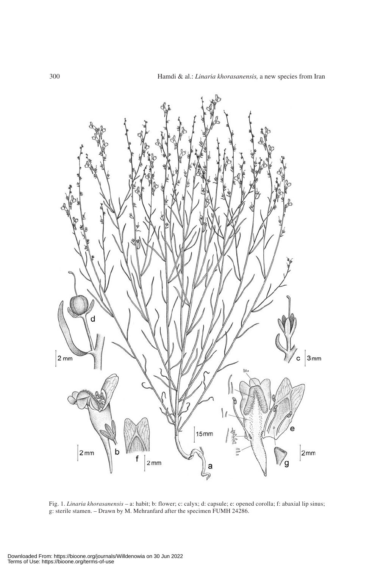

Fig. 1. *Linaria khorasanensis* – a: habit; b: flower; c: calyx; d: capsule; e: opened corolla; f: abaxial lip sinus; g: sterile stamen. – Drawn by M. Mehranfard after the specimen FUMH 24286.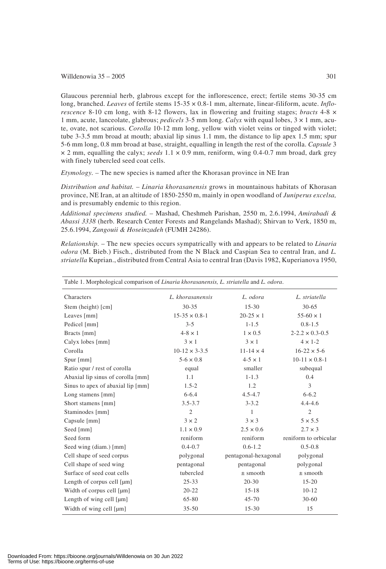#### Willdenowia  $35 - 2005$  301

Glaucous perennial herb, glabrous except for the inflorescence, erect; fertile stems 30-35 cm long, branched. *Leaves* of fertile stems 15-35 × 0.8-1 mm, alternate, linear-filiform, acute. *Inflorescence* 8-10 cm long, with 8-12 flowers, lax in flowering and fruiting stages; *bracts* 4-8 × 1 mm, acute, lanceolate, glabrous; *pedicels* 3-5 mm long. *Calyx* with equal lobes, 3 × 1 mm, acute, ovate, not scarious. *Corolla* 10-12 mm long, yellow with violet veins or tinged with violet; tube 3-3.5 mm broad at mouth; abaxial lip sinus 1.1 mm, the distance to lip apex 1.5 mm; spur 5-6 mm long, 0.8 mm broad at base, straight, equalling in length the rest of the corolla. *Capsule* 3  $\times$  2 mm, equalling the calyx; *seeds* 1.1  $\times$  0.9 mm, reniform, wing 0.4-0.7 mm broad, dark grey with finely tubercled seed coat cells.

*Etymology. –* The new species is named after the Khorasan province in NE Iran

*Distribution and habitat.* – *Linaria khorasanensis* grows in mountainous habitats of Khorasan province, NE Iran, at an altitude of 1850-2550 m, mainly in open woodland of *Juniperus excelsa,* and is presumably endemic to this region.

*Additional specimens studied.* – Mashad, Cheshmeh Parishan, 2550 m, 2.6.1994, *Amirabadi & Abassi 3338* (herb. Research Center Forests and Rangelands Mashad); Shirvan to Verk, 1850 m, 25.6.1994, *Zangouii & Hoseinzadeh* (FUMH 24286).

*Relationship.* – The new species occurs sympatrically with and appears to be related to *Linaria odora* (M. Bieb.) Fisch., distributed from the N Black and Caspian Sea to central Iran, and *L. striatella* Kuprian., distributed from Central Asia to central Iran (Davis 1982, Kuperianova 1950,

| Table 1. Morphological comparison of Linaria khorasanensis, L. striatella and L. odora. |                      |                      |                            |
|-----------------------------------------------------------------------------------------|----------------------|----------------------|----------------------------|
| Characters                                                                              | L. khorasanensis     | L. odora             | L. striatella              |
| Stem (height) [cm]                                                                      | $30 - 35$            | $15 - 30$            | $30 - 65$                  |
| Leaves [mm]                                                                             | $15-35 \times 0.8-1$ | $20 - 25 \times 1$   | $55-60 \times 1$           |
| Pedicel [mm]                                                                            | $3 - 5$              | $1 - 1.5$            | $0.8 - 1.5$                |
| Bracts [mm]                                                                             | $4-8 \times 1$       | $1 \times 0.5$       | $2 - 2.2 \times 0.3 - 0.5$ |
| Calyx lobes [mm]                                                                        | $3 \times 1$         | $3 \times 1$         | $4 \times 1-2$             |
| Corolla                                                                                 | $10-12 \times 3-3.5$ | $11 - 14 \times 4$   | $16-22 \times 5-6$         |
| Spur [mm]                                                                               | $5 - 6 \times 0.8$   | $4 - 5 \times 1$     | $10-11 \times 0.8-1$       |
| Ratio spur / rest of corolla                                                            | equal                | smaller              | subequal                   |
| Abaxial lip sinus of corolla [mm]                                                       | 1.1                  | $1 - 1.3$            | 0.4                        |
| Sinus to apex of abaxial lip [mm]                                                       | $1.5 - 2$            | 1.2                  | 3                          |
| Long stamens [mm]                                                                       | $6 - 6.4$            | $4.5 - 4.7$          | $6 - 6.2$                  |
| Short stamens [mm]                                                                      | $3.5 - 3.7$          | $3 - 3.2$            | $4.4 - 4.6$                |
| Staminodes [mm]                                                                         | $\overline{2}$       | 1                    | $\overline{2}$             |
| Capsule [mm]                                                                            | $3 \times 2$         | $3 \times 3$         | $5 \times 5.5$             |
| Seed [mm]                                                                               | $1.1 \times 0.9$     | $2.5 \times 0.6$     | $2.7 \times 3$             |
| Seed form                                                                               | reniform             | reniform             | reniform to orbicular      |
| Seed wing (diam.) [mm]                                                                  | $0.4 - 0.7$          | $0.6 - 1.2$          | $0.5 - 0.8$                |
| Cell shape of seed corpus                                                               | polygonal            | pentagonal-hexagonal | polygonal                  |
| Cell shape of seed wing                                                                 | pentagonal           | pentagonal           | polygonal                  |
| Surface of seed coat cells                                                              | tubercled            | $\pm$ smooth         | $\pm$ smooth               |
| Length of corpus cell $[µm]$                                                            | $25 - 33$            | $20 - 30$            | $15 - 20$                  |
| Width of corpus cell [µm]                                                               | $20 - 22$            | $15 - 18$            | $10 - 12$                  |
| Length of wing cell $[µm]$                                                              | 65-80                | $45 - 70$            | $30 - 60$                  |
| Width of wing cell [µm]                                                                 | $35 - 50$            | $15 - 30$            | 15                         |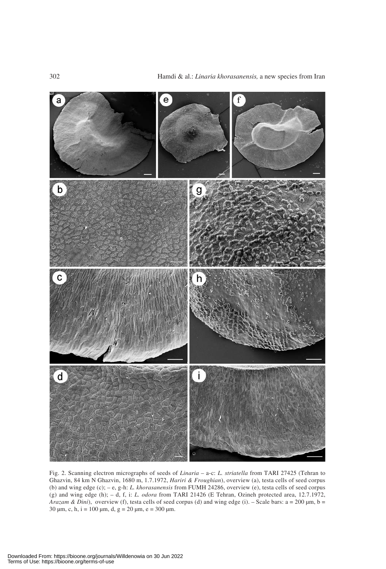

Fig. 2. Scanning electron micrographs of seeds of *Linaria* – a-c: *L. striatella* from TARI 27425 (Tehran to Ghazvin, 84 km N Ghazvin, 1680 m, 1.7.1972, *Hariri & Froughian*), overview (a), testa cells of seed corpus (b) and wing edge (c); – e, g-h: *L. khorasanensis* from FUMH 24286, overview (e), testa cells of seed corpus (g) and wing edge (h); – d, f, i: *L. odora* from TARI 21426 (E Tehran, Ozineh protected area, 12.7.1972, *Arazam & Dini*), overview (f), testa cells of seed corpus (d) and wing edge (i). – Scale bars: a = 200 μm, b = 30 μm, c, h, i = 100 μm, d, g = 20 μm, e = 300 μm.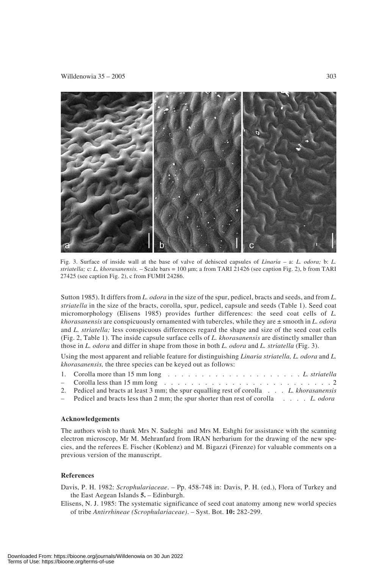

Fig. 3. Surface of inside wall at the base of valve of dehisced capsules of *Linaria* – a: *L. odora;* b: *L. striatella;* c: *L. khorasanensis.* – Scale bars = 100 μm; a from TARI 21426 (see caption Fig. 2), b from TARI 27425 (see caption Fig. 2), c from FUMH 24286.

Sutton 1985). It differs from *L. odora* in the size of the spur, pedicel, bracts and seeds, and from *L*. *striatella* in the size of the bracts, corolla, spur, pedicel, capsule and seeds (Table 1). Seed coat micromorphology (Elisens 1985) provides further differences: the seed coat cells of *L. khorasanensis* are conspicuously ornamented with tubercles, while they are ± smooth in *L. odora* and *L. striatella;* less conspicuous differences regard the shape and size of the seed coat cells (Fig. 2, Table 1). The inside capsule surface cells of *L. khorasanensis* are distinctly smaller than those in *L. odora* and differ in shape from those in both *L. odora* and *L. striatella* (Fig. 3).

Using the most apparent and reliable feature for distinguishing *Linaria striatella, L. odora* and *L. khorasanensis,* the three species can be keyed out as follows:

- 1. Corolla more than 15 mm long . . . . . . . . . . . . . . . . . . . . *L. striatella*
- Corolla less than 15 mm long . . . . . . . . . . . . . . . . . . . . . . . . . 2
- 2. Pedicel and bracts at least 3 mm; the spur equalling rest of corolla . . . *L. khorasanensis*
- Pedicel and bracts less than 2 mm; the spur shorter than rest of corolla . . . . *L. odora*

#### **Acknowledgements**

The authors wish to thank Mrs N. Sadeghi and Mrs M. Eshghi for assistance with the scanning electron microscop, Mr M. Mehranfard from IRAN herbarium for the drawing of the new species, and the referees E. Fischer (Koblenz) and M. Bigazzi (Firenze) for valuable comments on a previous version of the manuscript.

### **References**

Davis, P. H. 1982: *Scrophulariaceae*. – Pp. 458-748 in: Davis, P. H. (ed.), Flora of Turkey and the East Aegean Islands **5.** – Edinburgh.

Elisens, N. J. 1985: The systematic significance of seed coat anatomy among new world species of tribe *Antirrhineae (Scrophulariaceae)*. – Syst. Bot. **10:** 282-299.